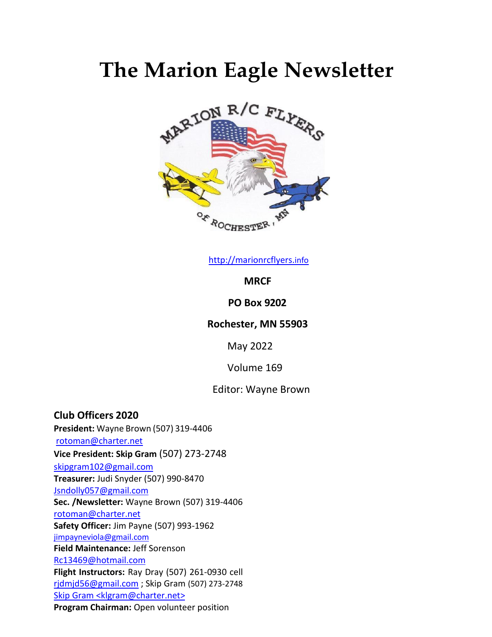# **The Marion Eagle Newsletter**



[http://marionrcflyers.](http://marionrcflyers.info/)[info](http://marionrcflyers.info/)

**MRCF** 

### **PO Box 9202**

#### **Rochester, MN 55903**

May 2022

Volume 169

#### Editor: Wayne Brown

**Club Officers 2020 President:** Wayne Brown (507) 319-4406 [rotoman@charter.net](mailto:rotoman@charter.net) **Vice President: Skip Gram** (507) 273-2748 [skipgram102@gmail.com](mailto:skipgram102@gmail.com) **Treasurer:** Judi Snyder (507) 990-8470 [Jsndolly057@gmail.com](mailto:Jsndolly057@gmail.com) **Sec. /Newsletter:** Wayne Brown (507) 319-4406 [rotoman@charter.net](mailto:rotoman@charter.net) **Safety Officer:** Jim Payne (507) 993-1962 [jimpayneviola@gmail.com](mailto:jimpayneviola@gmail.com) **Field Maintenance:** Jeff Sorenson [Rc13469@hotmail.com](mailto:Rc13469@hotmail.com) **Flight Instructors:** Ray Dray (507) 261-0930 cell [rjdmjd56@gmail.com](mailto:rjdmjd56@gmail.com) ; Skip Gram (507) 273-2748 Skip Gram [<klgram@charter.net>](mailto:klgram@charter.net) **Program Chairman:** Open volunteer position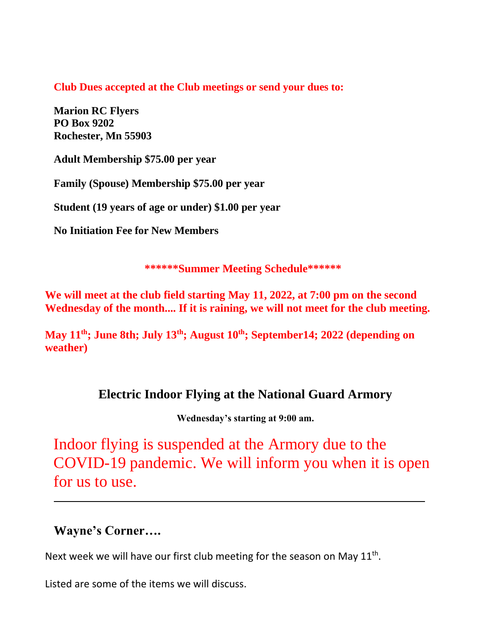**Club Dues accepted at the Club meetings or send your dues to:**

**Marion RC Flyers PO Box 9202 Rochester, Mn 55903**

**Adult Membership \$75.00 per year**

**Family (Spouse) Membership \$75.00 per year** 

**Student (19 years of age or under) \$1.00 per year** 

**No Initiation Fee for New Members**

**\*\*\*\*\*\*Summer Meeting Schedule\*\*\*\*\*\***

**We will meet at the club field starting May 11, 2022, at 7:00 pm on the second Wednesday of the month.... If it is raining, we will not meet for the club meeting.**

**May 11 th; June 8th; July 13th; August 10 th; September14; 2022 (depending on weather)**

## **Electric Indoor Flying at the National Guard Armory**

**Wednesday's starting at 9:00 am.**

Indoor flying is suspended at the Armory due to the COVID-19 pandemic. We will inform you when it is open for us to use.

## **Wayne's Corner….**

Next week we will have our first club meeting for the season on May  $11<sup>th</sup>$ .

Listed are some of the items we will discuss.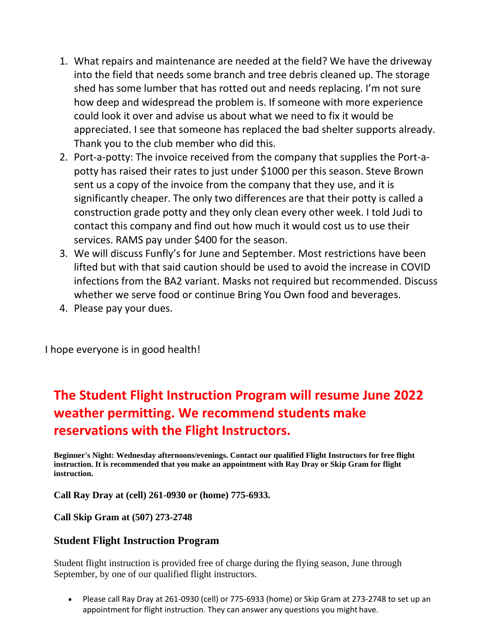- 1. What repairs and maintenance are needed at the field? We have the driveway into the field that needs some branch and tree debris cleaned up. The storage shed has some lumber that has rotted out and needs replacing. I'm not sure how deep and widespread the problem is. If someone with more experience could look it over and advise us about what we need to fix it would be appreciated. I see that someone has replaced the bad shelter supports already. Thank you to the club member who did this.
- 2. Port-a-potty: The invoice received from the company that supplies the Port-apotty has raised their rates to just under \$1000 per this season. Steve Brown sent us a copy of the invoice from the company that they use, and it is significantly cheaper. The only two differences are that their potty is called a construction grade potty and they only clean every other week. I told Judi to contact this company and find out how much it would cost us to use their services. RAMS pay under \$400 for the season.
- 3. We will discuss Funfly's for June and September. Most restrictions have been lifted but with that said caution should be used to avoid the increase in COVID infections from the BA2 variant. Masks not required but recommended. Discuss whether we serve food or continue Bring You Own food and beverages.
- 4. Please pay your dues.

I hope everyone is in good health!

## **The Student Flight Instruction Program will resume June 2022 weather permitting. We recommend students make reservations with the Flight Instructors.**

**Beginner's Night: Wednesday afternoons/evenings. Contact our qualified Flight Instructors for free flight instruction. It is recommended that you make an appointment with Ray Dray or Skip Gram for flight instruction.**

**Call Ray Dray at (cell) 261-0930 or (home) 775-6933.** 

**Call Skip Gram at (507) 273-2748**

### **Student Flight Instruction Program**

Student flight instruction is provided free of charge during the flying season, June through September, by one of our qualified flight instructors.

• Please call Ray Dray at 261-0930 (cell) or 775-6933 (home) or Skip Gram at 273-2748 to set up an appointment for flight instruction. They can answer any questions you might have.